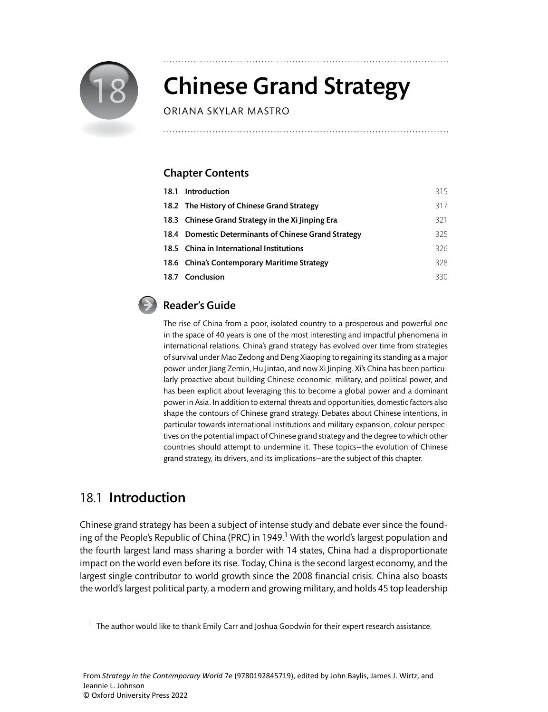

# **Chinese Grand Strategy**

ORIANA SKYLAR MASTRO

## Chapter Contents

| 18.1 Introduction                                    | 315  |
|------------------------------------------------------|------|
| 18.2 The History of Chinese Grand Strategy           | 317  |
| 18.3 Chinese Grand Strategy in the Xi Jinping Era    | 321  |
| 18.4 Domestic Determinants of Chinese Grand Strategy | 325. |
| 18.5 China in International Institutions             | 326. |
| 18.6 China's Contemporary Maritime Strategy          | 328  |
| 18.7 Conclusion                                      | 330  |

## Reader's Guide

The rise of China from a poor, isolated country to a prosperous and powerful one in the space of 40 years is one of the most interesting and impactful phenomena in international relations. China's grand strategy has evolved over time from strategies of survival under Mao Zedong and Deng Xiaoping to regaining its standing as a major power under Jiang Zemin, Hu Jintao, and now Xi Jinping. Xi's China has been particularly proactive about building Chinese economic, military, and political power, and has been explicit about leveraging this to become a global power and a dominant power in Asia. In addition to external threats and opportunities, domestic factors also shape the contours of Chinese grand strategy. Debates about Chinese intentions, in particular towards international institutions and military expansion, colour perspectives on the potential impact of Chinese grand strategy and the degree to which other countries should attempt to undermine it. These topics—the evolution of Chinese grand strategy, its drivers, and its implications—are the subject of this chapter.

# 18.1 Introduction

Chinese grand strategy has been a subject of intense study and debate ever since the founding of the People's Republic of China (PRC) in 1949.<sup>1</sup> With the world's largest population and the fourth largest land mass sharing a border with 14 states, China had a disproportionate impact on the world even before its rise. Today, China is the second largest economy, and the largest single contributor to world growth since the 2008 financial crisis. China also boasts the world's largest political party, a modern and growing military, and holds 45 top leadership

 $1$  The author would like to thank Emily Carr and Joshua Goodwin for their expert research assistance.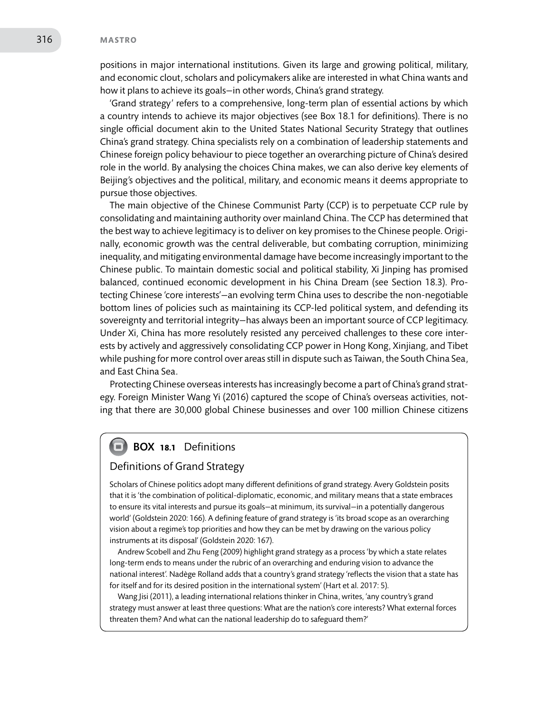#### 316 **MASTRO**

positions in major international institutions. Given its large and growing political, military, and economic clout, scholars and policymakers alike are interested in what China wants and how it plans to achieve its goals—in other words, China's grand strategy.

'Grand strategy' refers to a comprehensive, long-term plan of essential actions by which a country intends to achieve its major objectives (see Box 18.1 for definitions). There is no single official document akin to the United States National Security Strategy that outlines China's grand strategy. China specialists rely on a combination of leadership statements and Chinese foreign policy behaviour to piece together an overarching picture of China's desired role in the world. By analysing the choices China makes, we can also derive key elements of Beijing's objectives and the political, military, and economic means it deems appropriate to pursue those objectives.

The main objective of the Chinese Communist Party (CCP) is to perpetuate CCP rule by consolidating and maintaining authority over mainland China. The CCP has determined that the best way to achieve legitimacy is to deliver on key promises to the Chinese people. Originally, economic growth was the central deliverable, but combating corruption, minimizing inequality, and mitigating environmental damage have become increasingly important to the Chinese public. To maintain domestic social and political stability, Xi Jinping has promised balanced, continued economic development in his China Dream (see Section 18.3). Protecting Chinese 'core interests'—an evolving term China uses to describe the non-negotiable bottom lines of policies such as maintaining its CCP-led political system, and defending its sovereignty and territorial integrity—has always been an important source of CCP legitimacy. Under Xi, China has more resolutely resisted any perceived challenges to these core interests by actively and aggressively consolidating CCP power in Hong Kong, Xinjiang, and Tibet while pushing for more control over areas still in dispute such as Taiwan, the South China Sea, and East China Sea.

Protecting Chinese overseas interests has increasingly become a part of China's grand strategy. Foreign Minister Wang Yi (2016) captured the scope of China's overseas activities, noting that there are 30,000 global Chinese businesses and over 100 million Chinese citizens

## **BOX 18.1** Definitions

### Definitions of Grand Strategy

Scholars of Chinese politics adopt many different definitions of grand strategy. Avery Goldstein posits that it is 'the combination of political-diplomatic, economic, and military means that a state embraces to ensure its vital interests and pursue its goals—at minimum, its survival—in a potentially dangerous world' (Goldstein 2020: 166). A defining feature of grand strategy is 'its broad scope as an overarching vision about a regime's top priorities and how they can be met by drawing on the various policy instruments at its disposal' (Goldstein 2020: 167).

Andrew Scobell and Zhu Feng (2009) highlight grand strategy as a process 'by which a state relates long-term ends to means under the rubric of an overarching and enduring vision to advance the national interest'. Nadège Rolland adds that a country's grand strategy 'reflects the vision that a state has for itself and for its desired position in the international system' (Hart et al. 2017: 5).

Wang Jisi (2011), a leading international relations thinker in China, writes, 'any country's grand strategy must answer at least three questions: What are the nation's core interests? What external forces threaten them? And what can the national leadership do to safeguard them?'